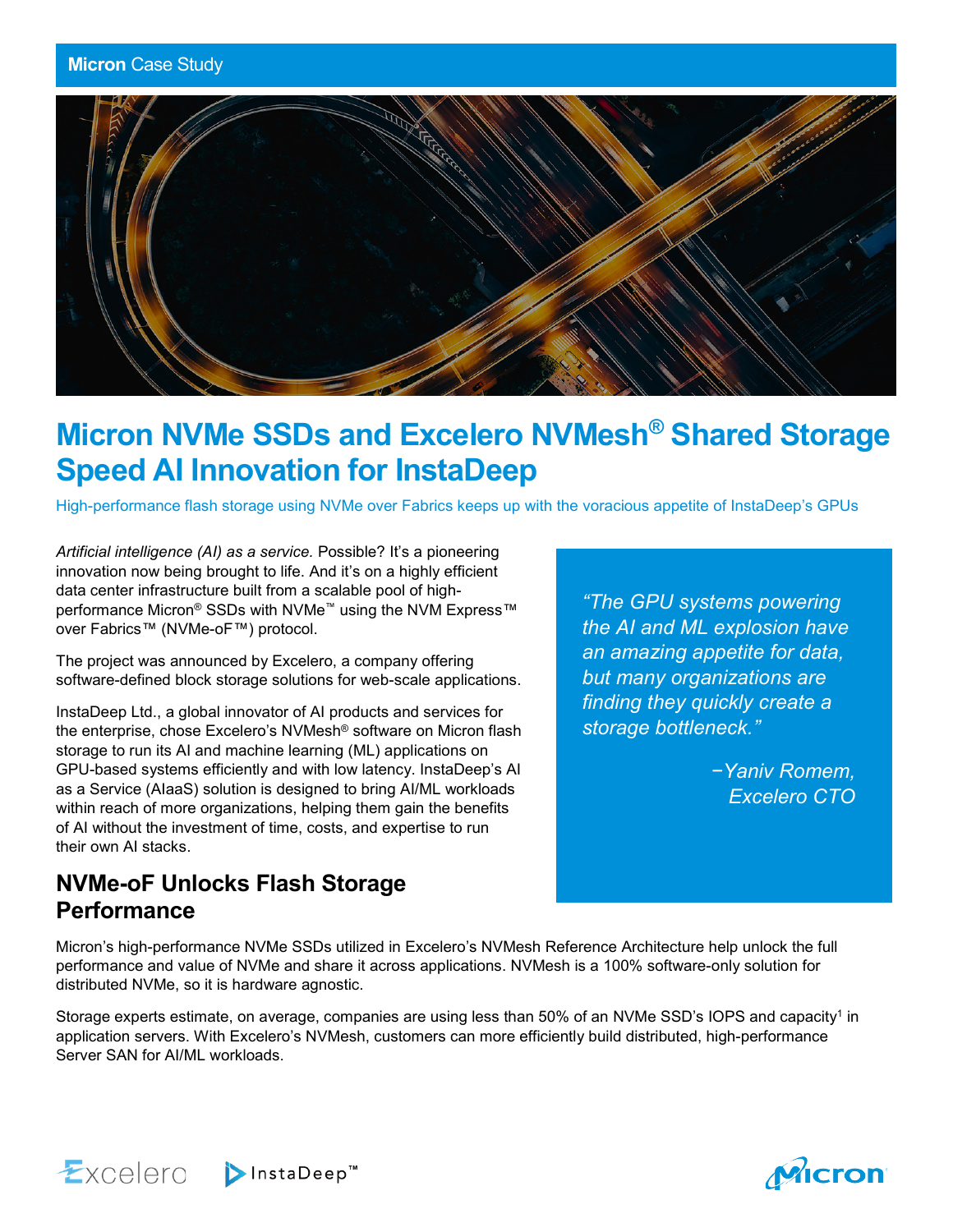

# **Micron NVMe SSDs and Excelero NVMesh® Shared Storage Speed AI Innovation for InstaDeep**

High-performance flash storage using NVMe over Fabrics keeps up with the voracious appetite of InstaDeep's GPUs

*Artificial intelligence (AI) as a service.* Possible? It's a pioneering innovation now being brought to life. And it's on a highly efficient data center infrastructure built from a scalable pool of highperformance Micron® SSDs with NVMe<sup>™</sup> using the NVM Express<sup>™</sup> over Fabrics™ (NVMe-oF™) protocol.

The project was announced by Excelero, a company offering software-defined block storage solutions for web-scale applications.

InstaDeep Ltd., a global innovator of AI products and services for the enterprise, chose Excelero's NVMesh® software on Micron flash storage to run its AI and machine learning (ML) applications on GPU-based systems efficiently and with low latency. InstaDeep's AI as a Service (AIaaS) solution is designed to bring AI/ML workloads within reach of more organizations, helping them gain the benefits of AI without the investment of time, costs, and expertise to run their own AI stacks.

## *"The GPU systems powering the AI and ML explosion have an amazing appetite for data, but many organizations are finding they quickly create a storage bottleneck."*

*−Yaniv Romem, Excelero CTO*

# **NVMe-oF Unlocks Flash Storage Performance**

Micron's high-performance NVMe SSDs utilized in Excelero's NVMesh Reference Architecture help unlock the full performance and value of NVMe and share it across applications. NVMesh is a 100% software-only solution for distributed NVMe, so it is hardware agnostic.

Storage experts estimate, on average, companies are using less than 50% of an NVMe SSD's IOPS and capacity<sup>1</sup> in application servers. With Excelero's NVMesh, customers can more efficiently build distributed, high-performance Server SAN for AI/ML workloads.



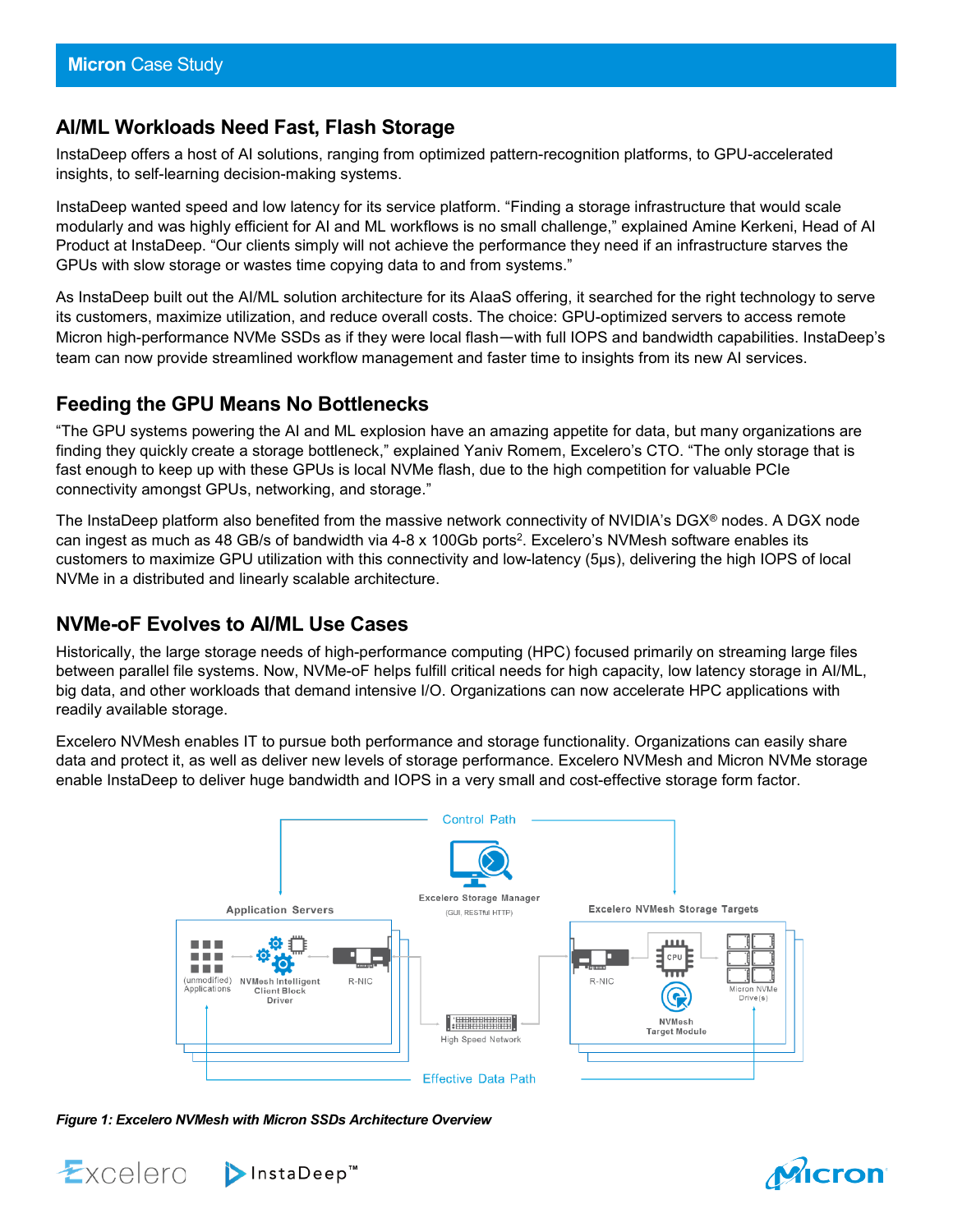#### **AI/ML Workloads Need Fast, Flash Storage**

InstaDeep offers a host of AI solutions, ranging from optimized pattern-recognition platforms, to GPU-accelerated insights, to self-learning decision-making systems.

InstaDeep wanted speed and low latency for its service platform. "Finding a storage infrastructure that would scale modularly and was highly efficient for AI and ML workflows is no small challenge," explained Amine Kerkeni, Head of AI Product at InstaDeep. "Our clients simply will not achieve the performance they need if an infrastructure starves the GPUs with slow storage or wastes time copying data to and from systems."

As InstaDeep built out the AI/ML solution architecture for its AIaaS offering, it searched for the right technology to serve its customers, maximize utilization, and reduce overall costs. The choice: GPU-optimized servers to access remote Micron high-performance NVMe SSDs as if they were local flash—with full IOPS and bandwidth capabilities. InstaDeep's team can now provide streamlined workflow management and faster time to insights from its new AI services.

## **Feeding the GPU Means No Bottlenecks**

"The GPU systems powering the AI and ML explosion have an amazing appetite for data, but many organizations are finding they quickly create a storage bottleneck," explained Yaniv Romem, Excelero's CTO. "The only storage that is fast enough to keep up with these GPUs is local NVMe flash, due to the high competition for valuable PCIe connectivity amongst GPUs, networking, and storage."

The InstaDeep platform also benefited from the massive network connectivity of NVIDIA's DGX® nodes. A DGX node can ingest as much as 48 GB/s of bandwidth via 4-8 x 100Gb ports<sup>2</sup>. Excelero's NVMesh software enables its customers to maximize GPU utilization with this connectivity and low-latency (5µs), delivering the high IOPS of local NVMe in a distributed and linearly scalable architecture.

#### **NVMe-oF Evolves to AI/ML Use Cases**

Historically, the large storage needs of high-performance computing (HPC) focused primarily on streaming large files between parallel file systems. Now, NVMe-oF helps fulfill critical needs for high capacity, low latency storage in AI/ML, big data, and other workloads that demand intensive I/O. Organizations can now accelerate HPC applications with readily available storage.

Excelero NVMesh enables IT to pursue both performance and storage functionality. Organizations can easily share data and protect it, as well as deliver new levels of storage performance. Excelero NVMesh and Micron NVMe storage enable InstaDeep to deliver huge bandwidth and IOPS in a very small and cost-effective storage form factor.